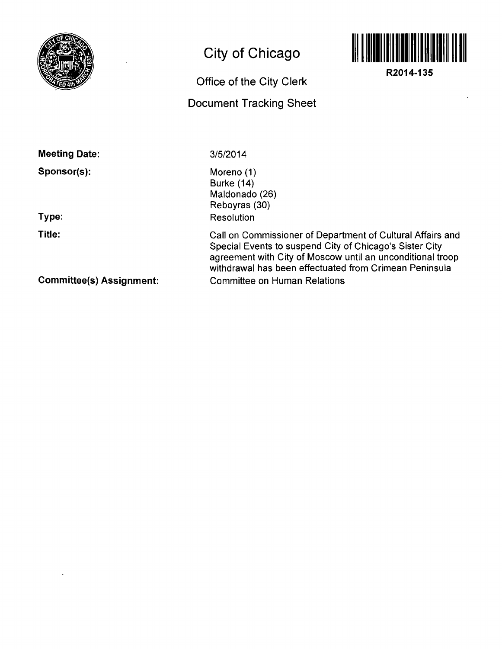

## **City of Chicago**

## **Office of the City Clerk Document Tracking Sheet**



**R2014-135** 

**Meeting Date:** 

**Sponsor(s):** 

**Type:** 

**Title:** 

**3/5/2014** 

Moreno (1) Burke (14) Maldonado (26) Reboyras (30) Resolution

Call on Commissioner of Department of Cultural Affairs and Special Events to suspend City of Chicago's Sister City agreement with City of Moscow until an unconditional troop withdrawal has been effectuated from Crimean Peninsula Committee on Human Relations

**Commlttee(s) Assignment:**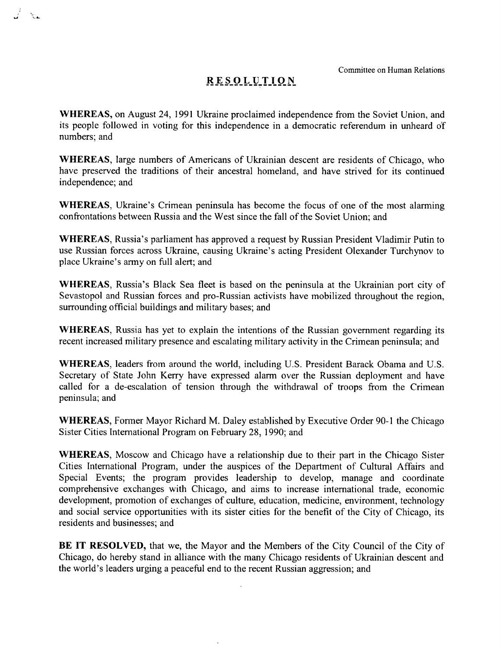Committee on Human Relations

## **RESOLUTIO N**

- 352

WHEREAS, on August 24, 1991 Ukraine proclaimed independence from the Soviet Union, and its people followed in voting for this independence in a democratic referendum in unheard of numbers; and

WHEREAS, large numbers of Americans of Ukrainian descent are residents of Chicago, who have preserved the traditions of their ancestral homeland, and have strived for its continued independence; and

WHEREAS, Ukraine's Crimean peninsula has become the focus of one of the most alarming confrontations between Russia and the West since the fall of the Soviet Union; and

WHEREAS, Russia's parliament has approved a request by Russian President Vladimir Putin to use Russian forces across Ukraine, causing Ukraine's acting President Olexander Turchynov to place Ukraine's army on full alert; and

WHEREAS, Russia's Black Sea fleet is based on the peninsula at the Ukrainian port city of Sevastopol and Russian forces and pro-Russian activists have mobilized throughout the region, surrounding official buildings and military bases; and

WHEREAS, Russia has yet to explain the intentions of the Russian government regarding its recent increased military presence and escalating military activity in the Crimean peninsula; and

WHEREAS, leaders from around the world, including U.S. President Barack Obama and U.S. Secretary of State John Kerry have expressed alarm over the Russian deployment and have called for a de-escalation of tension through the withdrawal of troops from the Crimean peninsula; and

WHEREAS, Former Mayor Richard M. Daley established by Executive Order 90-1 the Chicago Sister Cities Intemational Program on February 28, 1990; and

WHEREAS, Moscow and Chicago have a relationship due to their part in the Chicago Sister Cities Intemational Program, under the auspices of the Department of Cultural Affairs and Special Events; the program provides leadership to develop, manage and coordinate comprehensive exchanges with Chicago, and aims to increase intemational trade, economic development, promotion of exchanges of culture, education, medicine, environment, technology and social service opportunities with its sister cities for the benefit of the City of Chicago, its residents and businesses; and

BE IT RESOLVED, that we, the Mayor and the Members of the City Council of the City of Chicago, do hereby stand in alliance with the many Chicago residents of Ukrainian descent and the world's leaders urging a peacefiil end to the recent Russian aggression; and